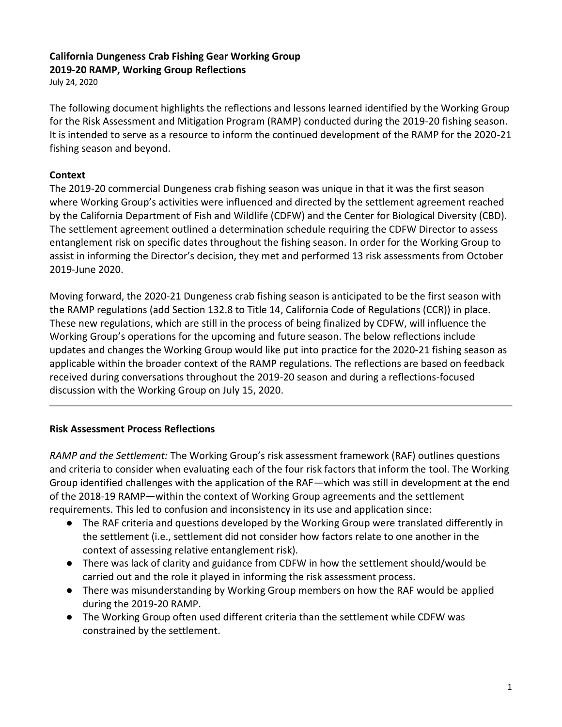## **California Dungeness Crab Fishing Gear Working Group**

**2019-20 RAMP, Working Group Reflections**

July 24, 2020

The following document highlights the reflections and lessons learned identified by the Working Group for the Risk Assessment and Mitigation Program (RAMP) conducted during the 2019-20 fishing season. It is intended to serve as a resource to inform the continued development of the RAMP for the 2020-21 fishing season and beyond.

## **Context**

The 2019-20 commercial Dungeness crab fishing season was unique in that it was the first season where Working Group's activities were influenced and directed by the settlement agreement reached by the California Department of Fish and Wildlife (CDFW) and the Center for Biological Diversity (CBD). The settlement agreement outlined a determination schedule requiring the CDFW Director to assess entanglement risk on specific dates throughout the fishing season. In order for the Working Group to assist in informing the Director's decision, they met and performed 13 risk assessments from October 2019-June 2020.

Moving forward, the 2020-21 Dungeness crab fishing season is anticipated to be the first season with the RAMP regulations (add Section 132.8 to Title 14, California Code of Regulations (CCR)) in place. These new regulations, which are still in the process of being finalized by CDFW, will influence the Working Group's operations for the upcoming and future season. The below reflections include updates and changes the Working Group would like put into practice for the 2020-21 fishing season as applicable within the broader context of the RAMP regulations. The reflections are based on feedback received during conversations throughout the 2019-20 season and during a reflections-focused discussion with the Working Group on July 15, 2020.

## **Risk Assessment Process Reflections**

*RAMP and the Settlement:* The Working Group's risk assessment framework (RAF) outlines questions and criteria to consider when evaluating each of the four risk factors that inform the tool. The Working Group identified challenges with the application of the RAF—which was still in development at the end of the 2018-19 RAMP—within the context of Working Group agreements and the settlement requirements. This led to confusion and inconsistency in its use and application since:

- The RAF criteria and questions developed by the Working Group were translated differently in the settlement (i.e., settlement did not consider how factors relate to one another in the context of assessing relative entanglement risk).
- There was lack of clarity and guidance from CDFW in how the settlement should/would be carried out and the role it played in informing the risk assessment process.
- There was misunderstanding by Working Group members on how the RAF would be applied during the 2019-20 RAMP.
- The Working Group often used different criteria than the settlement while CDFW was constrained by the settlement.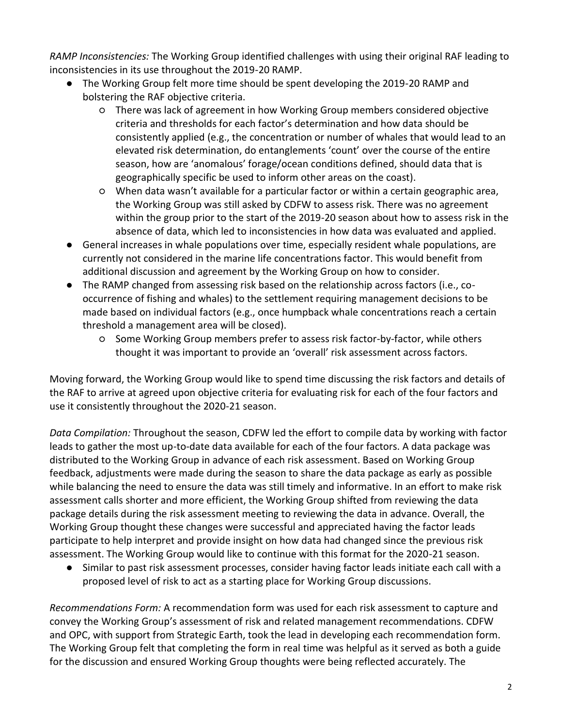*RAMP Inconsistencies:* The Working Group identified challenges with using their original RAF leading to inconsistencies in its use throughout the 2019-20 RAMP.

- The Working Group felt more time should be spent developing the 2019-20 RAMP and bolstering the RAF objective criteria.
	- There was lack of agreement in how Working Group members considered objective criteria and thresholds for each factor's determination and how data should be consistently applied (e.g., the concentration or number of whales that would lead to an elevated risk determination, do entanglements 'count' over the course of the entire season, how are 'anomalous' forage/ocean conditions defined, should data that is geographically specific be used to inform other areas on the coast).
	- When data wasn't available for a particular factor or within a certain geographic area, the Working Group was still asked by CDFW to assess risk. There was no agreement within the group prior to the start of the 2019-20 season about how to assess risk in the absence of data, which led to inconsistencies in how data was evaluated and applied.
- General increases in whale populations over time, especially resident whale populations, are currently not considered in the marine life concentrations factor. This would benefit from additional discussion and agreement by the Working Group on how to consider.
- The RAMP changed from assessing risk based on the relationship across factors (i.e., cooccurrence of fishing and whales) to the settlement requiring management decisions to be made based on individual factors (e.g., once humpback whale concentrations reach a certain threshold a management area will be closed).
	- Some Working Group members prefer to assess risk factor-by-factor, while others thought it was important to provide an 'overall' risk assessment across factors.

Moving forward, the Working Group would like to spend time discussing the risk factors and details of the RAF to arrive at agreed upon objective criteria for evaluating risk for each of the four factors and use it consistently throughout the 2020-21 season.

*Data Compilation:* Throughout the season, CDFW led the effort to compile data by working with factor leads to gather the most up-to-date data available for each of the four factors. A data package was distributed to the Working Group in advance of each risk assessment. Based on Working Group feedback, adjustments were made during the season to share the data package as early as possible while balancing the need to ensure the data was still timely and informative. In an effort to make risk assessment calls shorter and more efficient, the Working Group shifted from reviewing the data package details during the risk assessment meeting to reviewing the data in advance. Overall, the Working Group thought these changes were successful and appreciated having the factor leads participate to help interpret and provide insight on how data had changed since the previous risk assessment. The Working Group would like to continue with this format for the 2020-21 season.

● Similar to past risk assessment processes, consider having factor leads initiate each call with a proposed level of risk to act as a starting place for Working Group discussions.

*Recommendations Form:* A recommendation form was used for each risk assessment to capture and convey the Working Group's assessment of risk and related management recommendations. CDFW and OPC, with support from Strategic Earth, took the lead in developing each recommendation form. The Working Group felt that completing the form in real time was helpful as it served as both a guide for the discussion and ensured Working Group thoughts were being reflected accurately. The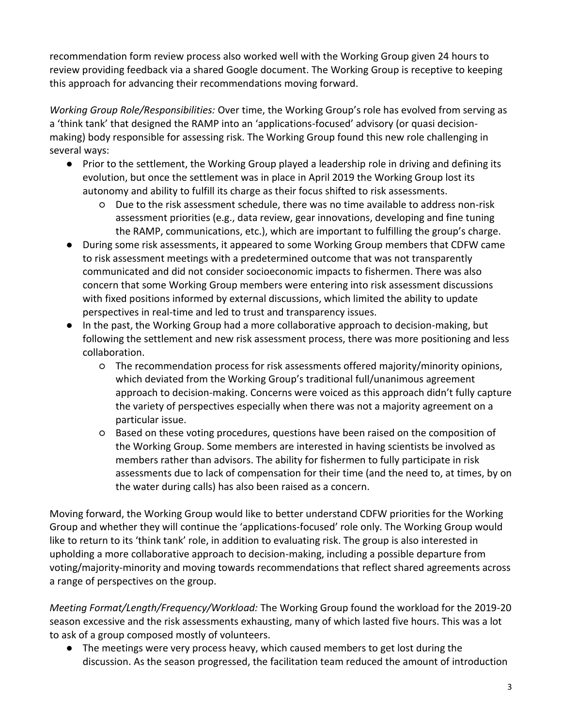recommendation form review process also worked well with the Working Group given 24 hours to review providing feedback via a shared Google document. The Working Group is receptive to keeping this approach for advancing their recommendations moving forward.

*Working Group Role/Responsibilities:* Over time, the Working Group's role has evolved from serving as a 'think tank' that designed the RAMP into an 'applications-focused' advisory (or quasi decisionmaking) body responsible for assessing risk. The Working Group found this new role challenging in several ways:

- Prior to the settlement, the Working Group played a leadership role in driving and defining its evolution, but once the settlement was in place in April 2019 the Working Group lost its autonomy and ability to fulfill its charge as their focus shifted to risk assessments.
	- Due to the risk assessment schedule, there was no time available to address non-risk assessment priorities (e.g., data review, gear innovations, developing and fine tuning the RAMP, communications, etc.), which are important to fulfilling the group's charge.
- During some risk assessments, it appeared to some Working Group members that CDFW came to risk assessment meetings with a predetermined outcome that was not transparently communicated and did not consider socioeconomic impacts to fishermen. There was also concern that some Working Group members were entering into risk assessment discussions with fixed positions informed by external discussions, which limited the ability to update perspectives in real-time and led to trust and transparency issues.
- In the past, the Working Group had a more collaborative approach to decision-making, but following the settlement and new risk assessment process, there was more positioning and less collaboration.
	- The recommendation process for risk assessments offered majority/minority opinions, which deviated from the Working Group's traditional full/unanimous agreement approach to decision-making. Concerns were voiced as this approach didn't fully capture the variety of perspectives especially when there was not a majority agreement on a particular issue.
	- Based on these voting procedures, questions have been raised on the composition of the Working Group. Some members are interested in having scientists be involved as members rather than advisors. The ability for fishermen to fully participate in risk assessments due to lack of compensation for their time (and the need to, at times, by on the water during calls) has also been raised as a concern.

Moving forward, the Working Group would like to better understand CDFW priorities for the Working Group and whether they will continue the 'applications-focused' role only. The Working Group would like to return to its 'think tank' role, in addition to evaluating risk. The group is also interested in upholding a more collaborative approach to decision-making, including a possible departure from voting/majority-minority and moving towards recommendations that reflect shared agreements across a range of perspectives on the group.

*Meeting Format/Length/Frequency/Workload:* The Working Group found the workload for the 2019-20 season excessive and the risk assessments exhausting, many of which lasted five hours. This was a lot to ask of a group composed mostly of volunteers.

● The meetings were very process heavy, which caused members to get lost during the discussion. As the season progressed, the facilitation team reduced the amount of introduction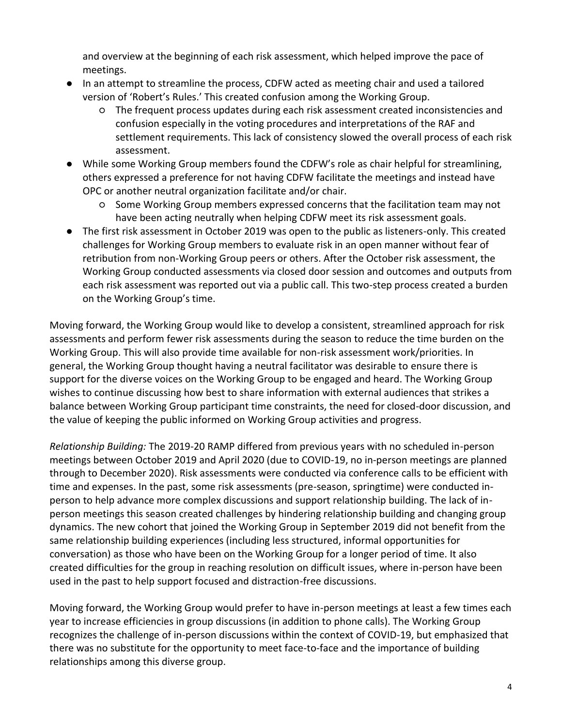and overview at the beginning of each risk assessment, which helped improve the pace of meetings.

- In an attempt to streamline the process, CDFW acted as meeting chair and used a tailored version of 'Robert's Rules.' This created confusion among the Working Group.
	- The frequent process updates during each risk assessment created inconsistencies and confusion especially in the voting procedures and interpretations of the RAF and settlement requirements. This lack of consistency slowed the overall process of each risk assessment.
- While some Working Group members found the CDFW's role as chair helpful for streamlining, others expressed a preference for not having CDFW facilitate the meetings and instead have OPC or another neutral organization facilitate and/or chair.
	- Some Working Group members expressed concerns that the facilitation team may not have been acting neutrally when helping CDFW meet its risk assessment goals.
- The first risk assessment in October 2019 was open to the public as listeners-only. This created challenges for Working Group members to evaluate risk in an open manner without fear of retribution from non-Working Group peers or others. After the October risk assessment, the Working Group conducted assessments via closed door session and outcomes and outputs from each risk assessment was reported out via a public call. This two-step process created a burden on the Working Group's time.

Moving forward, the Working Group would like to develop a consistent, streamlined approach for risk assessments and perform fewer risk assessments during the season to reduce the time burden on the Working Group. This will also provide time available for non-risk assessment work/priorities. In general, the Working Group thought having a neutral facilitator was desirable to ensure there is support for the diverse voices on the Working Group to be engaged and heard. The Working Group wishes to continue discussing how best to share information with external audiences that strikes a balance between Working Group participant time constraints, the need for closed-door discussion, and the value of keeping the public informed on Working Group activities and progress.

*Relationship Building:* The 2019-20 RAMP differed from previous years with no scheduled in-person meetings between October 2019 and April 2020 (due to COVID-19, no in-person meetings are planned through to December 2020). Risk assessments were conducted via conference calls to be efficient with time and expenses. In the past, some risk assessments (pre-season, springtime) were conducted inperson to help advance more complex discussions and support relationship building. The lack of inperson meetings this season created challenges by hindering relationship building and changing group dynamics. The new cohort that joined the Working Group in September 2019 did not benefit from the same relationship building experiences (including less structured, informal opportunities for conversation) as those who have been on the Working Group for a longer period of time. It also created difficulties for the group in reaching resolution on difficult issues, where in-person have been used in the past to help support focused and distraction-free discussions.

Moving forward, the Working Group would prefer to have in-person meetings at least a few times each year to increase efficiencies in group discussions (in addition to phone calls). The Working Group recognizes the challenge of in-person discussions within the context of COVID-19, but emphasized that there was no substitute for the opportunity to meet face-to-face and the importance of building relationships among this diverse group.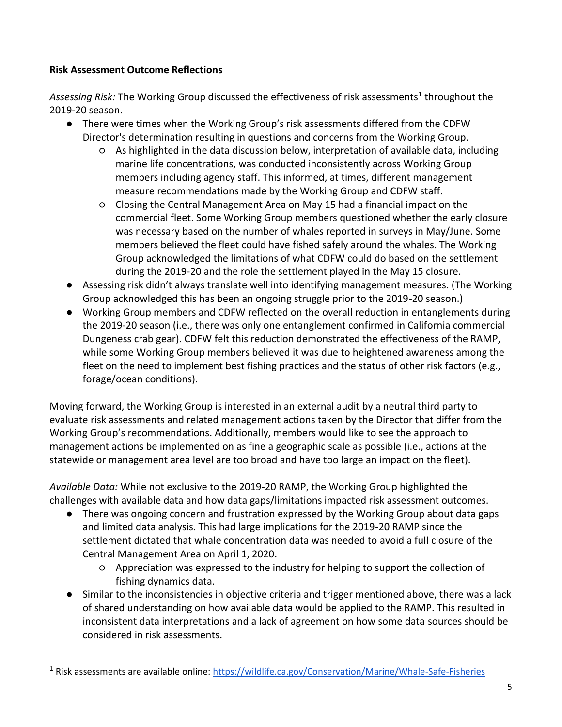## **Risk Assessment Outcome Reflections**

Assessing Risk: The Working Group discussed the effectiveness of risk assessments<sup>1</sup> throughout the 2019-20 season.

- There were times when the Working Group's risk assessments differed from the CDFW Director's determination resulting in questions and concerns from the Working Group.
	- As highlighted in the data discussion below, interpretation of available data, including marine life concentrations, was conducted inconsistently across Working Group members including agency staff. This informed, at times, different management measure recommendations made by the Working Group and CDFW staff.
	- Closing the Central Management Area on May 15 had a financial impact on the commercial fleet. Some Working Group members questioned whether the early closure was necessary based on the number of whales reported in surveys in May/June. Some members believed the fleet could have fished safely around the whales. The Working Group acknowledged the limitations of what CDFW could do based on the settlement during the 2019-20 and the role the settlement played in the May 15 closure.
- Assessing risk didn't always translate well into identifying management measures. (The Working Group acknowledged this has been an ongoing struggle prior to the 2019-20 season.)
- Working Group members and CDFW reflected on the overall reduction in entanglements during the 2019-20 season (i.e., there was only one entanglement confirmed in California commercial Dungeness crab gear). CDFW felt this reduction demonstrated the effectiveness of the RAMP, while some Working Group members believed it was due to heightened awareness among the fleet on the need to implement best fishing practices and the status of other risk factors (e.g., forage/ocean conditions).

Moving forward, the Working Group is interested in an external audit by a neutral third party to evaluate risk assessments and related management actions taken by the Director that differ from the Working Group's recommendations. Additionally, members would like to see the approach to management actions be implemented on as fine a geographic scale as possible (i.e., actions at the statewide or management area level are too broad and have too large an impact on the fleet).

*Available Data:* While not exclusive to the 2019-20 RAMP, the Working Group highlighted the challenges with available data and how data gaps/limitations impacted risk assessment outcomes.

- There was ongoing concern and frustration expressed by the Working Group about data gaps and limited data analysis. This had large implications for the 2019-20 RAMP since the settlement dictated that whale concentration data was needed to avoid a full closure of the Central Management Area on April 1, 2020.
	- Appreciation was expressed to the industry for helping to support the collection of fishing dynamics data.
- Similar to the inconsistencies in objective criteria and trigger mentioned above, there was a lack of shared understanding on how available data would be applied to the RAMP. This resulted in inconsistent data interpretations and a lack of agreement on how some data sources should be considered in risk assessments.

<sup>&</sup>lt;sup>1</sup> Risk assessments are available online:<https://wildlife.ca.gov/Conservation/Marine/Whale-Safe-Fisheries>